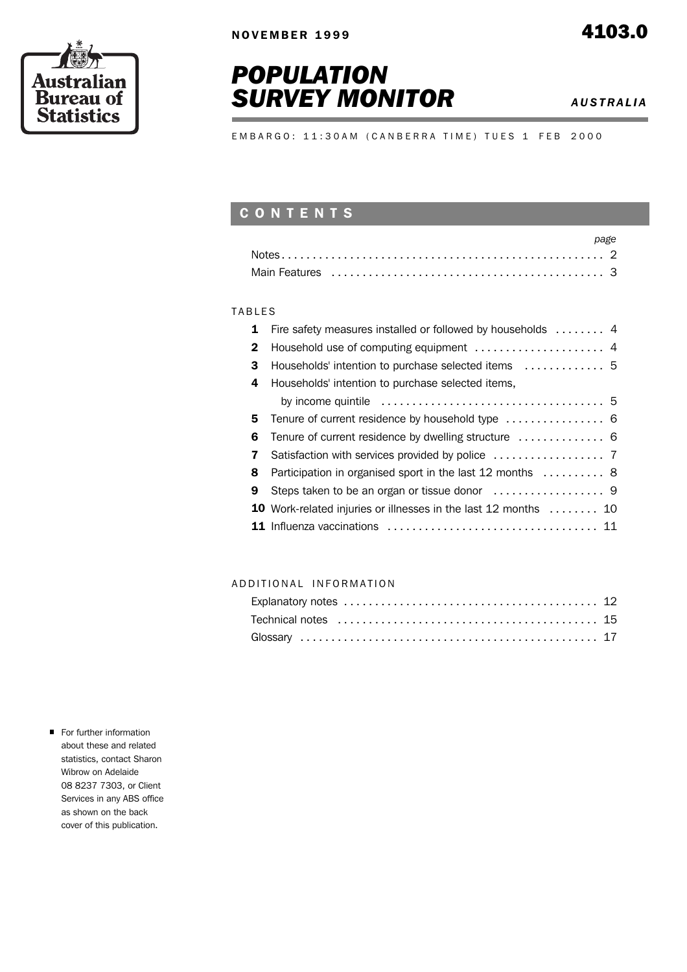





E M B A R G O : 11:30 A M ( C A N B E R R A T I M E ) T U E S 1 F E B 2000

# C O N T E N T S

### **TABLES**

|              | 1 Fire safety measures installed or followed by households  4                              |
|--------------|--------------------------------------------------------------------------------------------|
| $\mathbf{2}$ |                                                                                            |
| 3            | Households' intention to purchase selected items  5                                        |
| 4            | Households' intention to purchase selected items,                                          |
|              | by income quintile $\ldots \ldots \ldots \ldots \ldots \ldots \ldots \ldots \ldots \ldots$ |
| 5.           |                                                                                            |
| 6            |                                                                                            |
| $\mathbf{7}$ |                                                                                            |
| 8            | Participation in organised sport in the last 12 months  8                                  |
| 9            |                                                                                            |
|              | 10 Work-related injuries or illnesses in the last 12 months  10                            |
|              |                                                                                            |

#### A D D I T I O N A L I N F O R M A T I O N

| Explanatory notes $\ldots \ldots \ldots \ldots \ldots \ldots \ldots \ldots \ldots \ldots \ldots$ |  |
|--------------------------------------------------------------------------------------------------|--|
|                                                                                                  |  |
|                                                                                                  |  |

For further information about these and related statistics, contact Sharon Wibrow on Adelaide 08 8237 7303, or Client Services in any ABS office as shown on the back cover of this publication.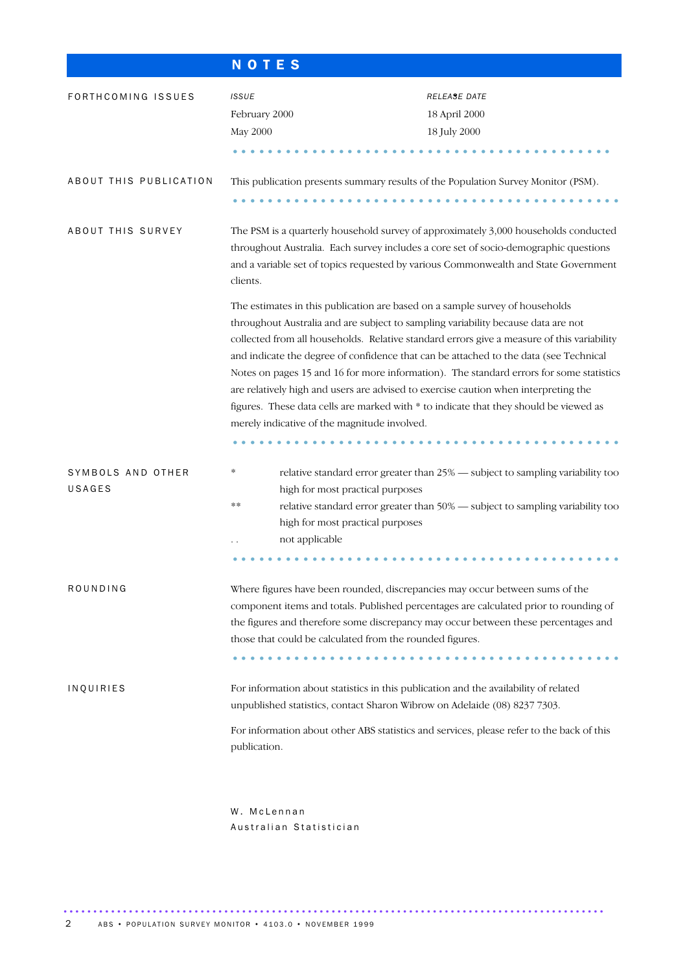|                             | <b>NOTES</b>                                 |                                                                                                                                                                                                                                                                                                                                                                                                                                                                                                                                                                                                                                     |
|-----------------------------|----------------------------------------------|-------------------------------------------------------------------------------------------------------------------------------------------------------------------------------------------------------------------------------------------------------------------------------------------------------------------------------------------------------------------------------------------------------------------------------------------------------------------------------------------------------------------------------------------------------------------------------------------------------------------------------------|
| FORTHCOMING ISSUES          | <b>ISSUE</b><br>February 2000<br>May 2000    | <b>RELEASE DATE</b><br>18 April 2000<br>18 July 2000                                                                                                                                                                                                                                                                                                                                                                                                                                                                                                                                                                                |
| ABOUT THIS PUBLICATION      |                                              | This publication presents summary results of the Population Survey Monitor (PSM).                                                                                                                                                                                                                                                                                                                                                                                                                                                                                                                                                   |
| ABOUT THIS SURVEY           | clients.                                     | The PSM is a quarterly household survey of approximately 3,000 households conducted<br>throughout Australia. Each survey includes a core set of socio-demographic questions<br>and a variable set of topics requested by various Commonwealth and State Government                                                                                                                                                                                                                                                                                                                                                                  |
|                             | merely indicative of the magnitude involved. | The estimates in this publication are based on a sample survey of households<br>throughout Australia and are subject to sampling variability because data are not<br>collected from all households. Relative standard errors give a measure of this variability<br>and indicate the degree of confidence that can be attached to the data (see Technical<br>Notes on pages 15 and 16 for more information). The standard errors for some statistics<br>are relatively high and users are advised to exercise caution when interpreting the<br>figures. These data cells are marked with * to indicate that they should be viewed as |
| SYMBOLS AND OTHER<br>USAGES | *<br>**<br>not applicable                    | relative standard error greater than 25% - subject to sampling variability too<br>high for most practical purposes<br>relative standard error greater than 50% - subject to sampling variability too<br>high for most practical purposes                                                                                                                                                                                                                                                                                                                                                                                            |
| ROUNDING                    |                                              | Where figures have been rounded, discrepancies may occur between sums of the<br>component items and totals. Published percentages are calculated prior to rounding of<br>the figures and therefore some discrepancy may occur between these percentages and<br>those that could be calculated from the rounded figures.                                                                                                                                                                                                                                                                                                             |
| INQUIRIES                   | publication.                                 | For information about statistics in this publication and the availability of related<br>unpublished statistics, contact Sharon Wibrow on Adelaide (08) 8237 7303.<br>For information about other ABS statistics and services, please refer to the back of this                                                                                                                                                                                                                                                                                                                                                                      |
|                             | W. McLennan                                  |                                                                                                                                                                                                                                                                                                                                                                                                                                                                                                                                                                                                                                     |

Australian Statistician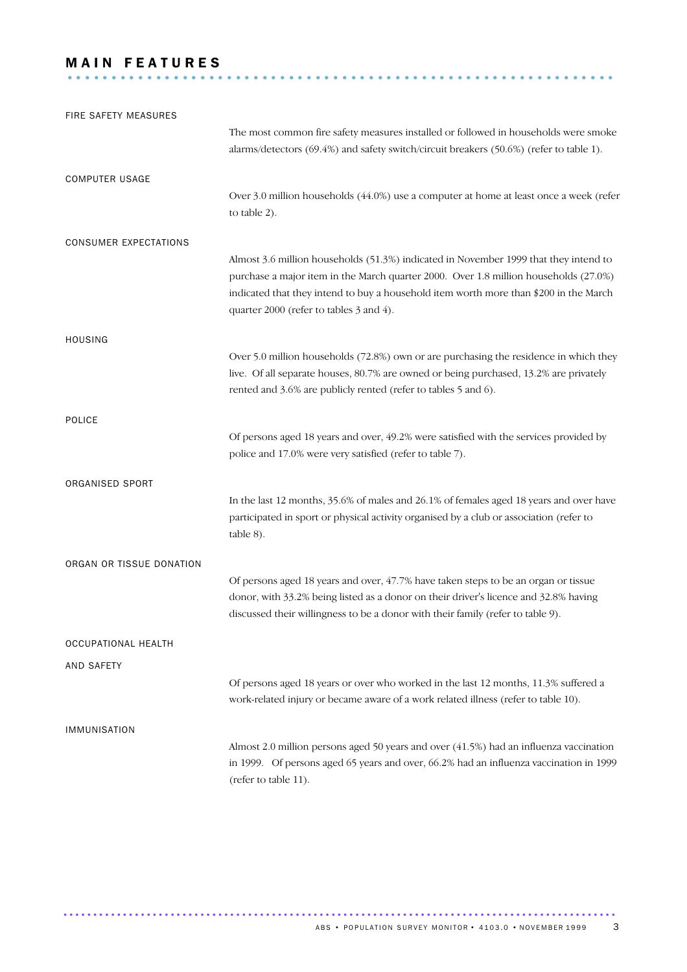## **MAIN FEATURES** ..............................................................

| FIRE SAFETY MEASURES         |                                                                                                                                                                                                                                                                                                                  |
|------------------------------|------------------------------------------------------------------------------------------------------------------------------------------------------------------------------------------------------------------------------------------------------------------------------------------------------------------|
|                              | The most common fire safety measures installed or followed in households were smoke                                                                                                                                                                                                                              |
|                              | alarms/detectors (69.4%) and safety switch/circuit breakers (50.6%) (refer to table 1).                                                                                                                                                                                                                          |
| <b>COMPUTER USAGE</b>        |                                                                                                                                                                                                                                                                                                                  |
|                              | Over 3.0 million households (44.0%) use a computer at home at least once a week (refer<br>to table 2).                                                                                                                                                                                                           |
| <b>CONSUMER EXPECTATIONS</b> |                                                                                                                                                                                                                                                                                                                  |
|                              | Almost 3.6 million households (51.3%) indicated in November 1999 that they intend to<br>purchase a major item in the March quarter 2000. Over 1.8 million households (27.0%)<br>indicated that they intend to buy a household item worth more than \$200 in the March<br>quarter 2000 (refer to tables 3 and 4). |
| <b>HOUSING</b>               |                                                                                                                                                                                                                                                                                                                  |
|                              | Over 5.0 million households (72.8%) own or are purchasing the residence in which they<br>live. Of all separate houses, 80.7% are owned or being purchased, 13.2% are privately<br>rented and 3.6% are publicly rented (refer to tables 5 and 6).                                                                 |
| <b>POLICE</b>                |                                                                                                                                                                                                                                                                                                                  |
|                              | Of persons aged 18 years and over, 49.2% were satisfied with the services provided by<br>police and 17.0% were very satisfied (refer to table 7).                                                                                                                                                                |
| ORGANISED SPORT              |                                                                                                                                                                                                                                                                                                                  |
|                              | In the last 12 months, 35.6% of males and 26.1% of females aged 18 years and over have<br>participated in sport or physical activity organised by a club or association (refer to<br>table 8).                                                                                                                   |
| ORGAN OR TISSUE DONATION     |                                                                                                                                                                                                                                                                                                                  |
|                              | Of persons aged 18 years and over, 47.7% have taken steps to be an organ or tissue<br>donor, with 33.2% being listed as a donor on their driver's licence and 32.8% having<br>discussed their willingness to be a donor with their family (refer to table 9).                                                    |
| OCCUPATIONAL HEALTH          |                                                                                                                                                                                                                                                                                                                  |
| <b>AND SAFETY</b>            |                                                                                                                                                                                                                                                                                                                  |
|                              | Of persons aged 18 years or over who worked in the last 12 months, 11.3% suffered a<br>work-related injury or became aware of a work related illness (refer to table 10).                                                                                                                                        |
| <b>IMMUNISATION</b>          |                                                                                                                                                                                                                                                                                                                  |
|                              | Almost 2.0 million persons aged 50 years and over (41.5%) had an influenza vaccination<br>in 1999. Of persons aged 65 years and over, 66.2% had an influenza vaccination in 1999<br>(refer to table 11).                                                                                                         |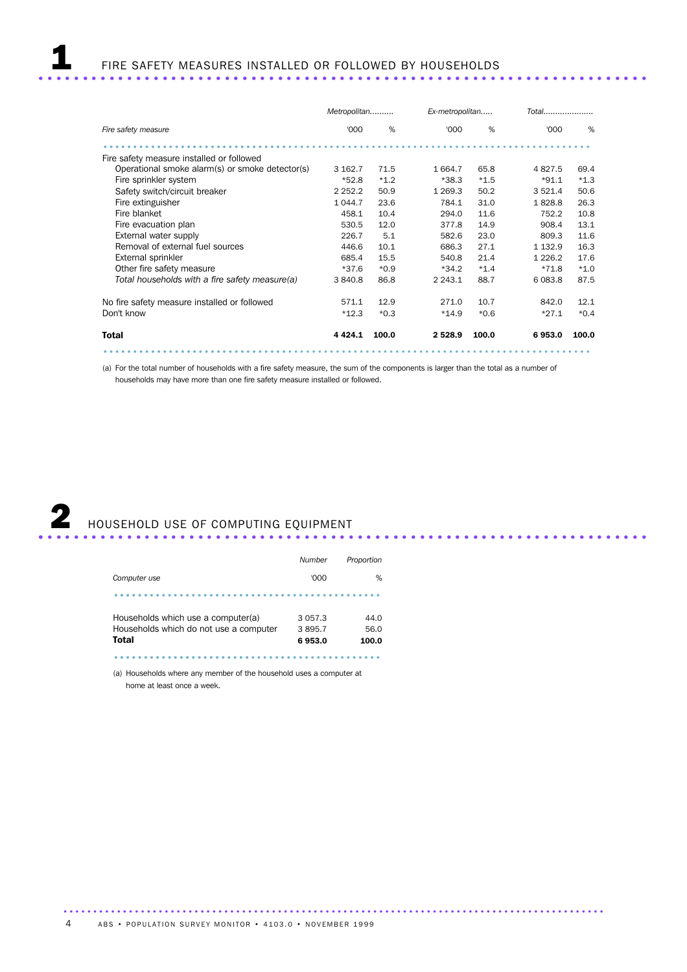|                                                 | Metropolitan |        | Ex-metropolitan | Total  |             |        |
|-------------------------------------------------|--------------|--------|-----------------|--------|-------------|--------|
| Fire safety measure                             | '000         | %      | '000            | %      | '000        | %      |
|                                                 |              |        |                 |        |             |        |
| Fire safety measure installed or followed       |              |        |                 |        |             |        |
| Operational smoke alarm(s) or smoke detector(s) | 3 162.7      | 71.5   | 1 6 6 4.7       | 65.8   | 4827.5      | 69.4   |
| Fire sprinkler system                           | $*52.8$      | $*1.2$ | $*38.3$         | $*1.5$ | $*91.1$     | $*1.3$ |
| Safety switch/circuit breaker                   | 2 2 5 2 . 2  | 50.9   | 1 2 6 9.3       | 50.2   | 3 5 2 1.4   | 50.6   |
| Fire extinguisher                               | 1 0 4 4.7    | 23.6   | 784.1           | 31.0   | 1828.8      | 26.3   |
| Fire blanket                                    | 458.1        | 10.4   | 294.0           | 11.6   | 752.2       | 10.8   |
| Fire evacuation plan                            | 530.5        | 12.0   | 377.8           | 14.9   | 908.4       | 13.1   |
| External water supply                           | 226.7        | 5.1    | 582.6           | 23.0   | 809.3       | 11.6   |
| Removal of external fuel sources                | 446.6        | 10.1   | 686.3           | 27.1   | 1 1 3 2 . 9 | 16.3   |
| External sprinkler                              | 685.4        | 15.5   | 540.8           | 21.4   | 1 2 2 6 . 2 | 17.6   |
| Other fire safety measure                       | $*37.6$      | $*0.9$ | $*34.2$         | $*1.4$ | $*71.8$     | $*1.0$ |
| Total households with a fire safety measure(a)  | 3 840.8      | 86.8   | 2 2 4 3 . 1     | 88.7   | 6 0 8 3.8   | 87.5   |
| No fire safety measure installed or followed    | 571.1        | 12.9   | 271.0           | 10.7   | 842.0       | 12.1   |
| Don't know                                      | $*12.3$      | $*0.3$ | $*14.9$         | $*0.6$ | $*27.1$     | $*0.4$ |
| <b>Total</b>                                    | 4 4 2 4 .1   | 100.0  | 2 5 2 8 . 9     | 100.0  | 6953.0      | 100.0  |
|                                                 |              |        |                 |        |             |        |

(a) For the total number of households with a fire safety measure, the sum of the components is larger than the total as a number of households may have more than one fire safety measure installed or followed.



|                                                                                       | Number                         | Proportion            |
|---------------------------------------------------------------------------------------|--------------------------------|-----------------------|
| Computer use                                                                          | '000                           | %                     |
|                                                                                       |                                |                       |
| Households which use a computer(a)<br>Households which do not use a computer<br>Total | 3 0 5 7 .3<br>3895.7<br>6953.0 | 44.0<br>56.0<br>100.0 |

............................................. .......................

(a) Households where any member of the household uses a computer at home at least once a week.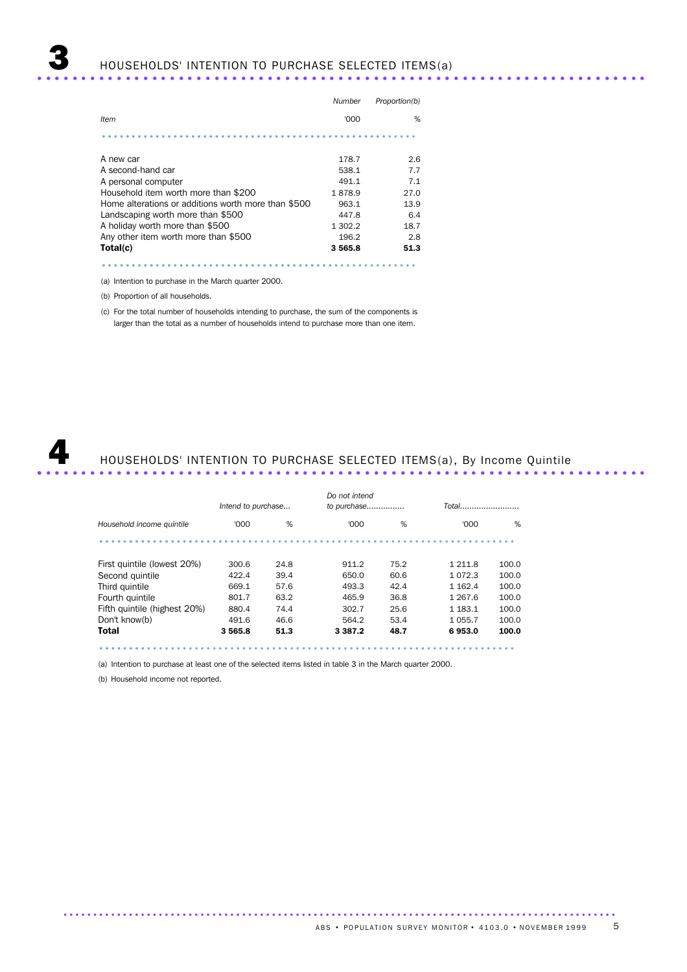|                                                     | Number  | Proportion(b) |
|-----------------------------------------------------|---------|---------------|
| Item                                                | '000    | %             |
|                                                     |         |               |
| A new car                                           | 178.7   | 2.6           |
| A second-hand car                                   | 538.1   | 7.7           |
| A personal computer                                 | 491.1   | 7.1           |
| Household item worth more than \$200                | 1878.9  | 27.0          |
| Home alterations or additions worth more than \$500 | 963.1   | 13.9          |
| Landscaping worth more than \$500                   | 447.8   | 6.4           |
| A holiday worth more than \$500                     | 1 302.2 | 18.7          |
| Any other item worth more than \$500                | 196.2   | 2.8           |
| Total(c)                                            | 3565.8  | 51.3          |
|                                                     |         |               |

(a) Intention to purchase in the March quarter 2000.

(b) Proportion of all households.

(c) For the total number of households intending to purchase, the sum of the components is larger than the total as a number of households intend to purchase more than one item.



# He all Households' INTENTION TO PURCHASE SELECTED ITEMS(a), By Income Quintile

.............................................................................................

|                              | Intend to purchase |      | Do not intend<br>to purchase |      |             | Total |  |
|------------------------------|--------------------|------|------------------------------|------|-------------|-------|--|
| Household income quintile    | '000               | %    | '000                         | %    | '000        | %     |  |
|                              |                    |      |                              |      |             |       |  |
| First quintile (lowest 20%)  | 300.6              | 24.8 | 911.2                        | 75.2 | 1 2 1 1 .8  | 100.0 |  |
| Second quintile              | 422.4              | 39.4 | 650.0                        | 60.6 | 1 0 7 2 . 3 | 100.0 |  |
| Third quintile               | 669.1              | 57.6 | 493.3                        | 42.4 | 1 1 6 2 . 4 | 100.0 |  |
| Fourth quintile              | 801.7              | 63.2 | 465.9                        | 36.8 | 1 2 6 7 . 6 | 100.0 |  |
| Fifth quintile (highest 20%) | 880.4              | 74.4 | 302.7                        | 25.6 | 1 1 8 3 . 1 | 100.0 |  |
| Don't know(b)                | 491.6              | 46.6 | 564.2                        | 53.4 | 1 0 5 5.7   | 100.0 |  |
| Total                        | 3 5 6 5.8          | 51.3 | 3 3 8 7 . 2                  | 48.7 | 6953.0      | 100.0 |  |
|                              |                    |      |                              |      |             |       |  |

(a) Intention to purchase at least one of the selected items listed in table 3 in the March quarter 2000.

(b) Household income not reported.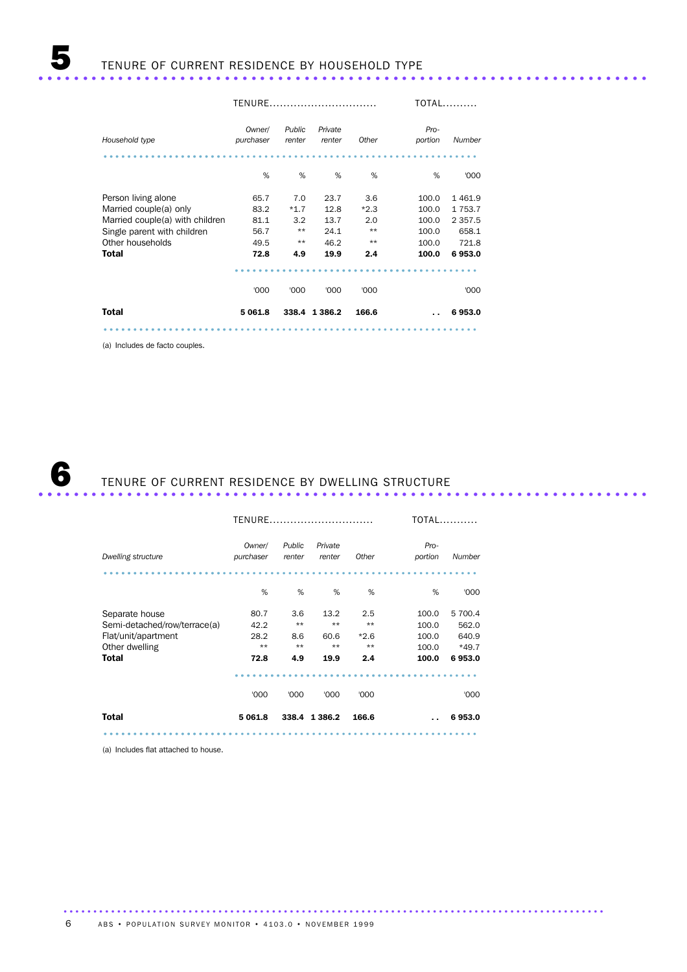|                                 | TENURE              |                  |                   |        |                 | $TOTAL$     |
|---------------------------------|---------------------|------------------|-------------------|--------|-----------------|-------------|
| Household type                  | Owner/<br>purchaser | Public<br>renter | Private<br>renter | Other  | Pro-<br>portion | Number      |
|                                 | %                   | %                | %                 | %      | %               | '000        |
| Person living alone             | 65.7                | 7.0              | 23.7              | 3.6    | 100.0           | 1461.9      |
| Married couple(a) only          | 83.2                | $*1.7$           | 12.8              | $*2.3$ | 100.0           | 1753.7      |
| Married couple(a) with children | 81.1                | 3.2              | 13.7              | 2.0    | 100.0           | 2 3 5 7 . 5 |
| Single parent with children     | 56.7                | $***$            | 24.1              | $***$  | 100.0           | 658.1       |
| Other households                | 49.5                | $***$            | 46.2              | $***$  | 100.0           | 721.8       |
| <b>Total</b>                    | 72.8                | 4.9              | 19.9              | 2.4    | 100.0           | 6953.0      |
|                                 |                     |                  |                   |        |                 |             |
|                                 | '000                | '000             | '000              | '000   |                 | '000        |
| <b>Total</b>                    | 5 061.8             |                  | 338.4 1 386.2     | 166.6  |                 | 6953.0      |
|                                 |                     |                  |                   |        |                 |             |

(a) Includes de facto couples.

# 6 TENURE OF CURRENT RESIDENCE BY DWELLING STRUCTURE ..................................................................... ..

|                              | TENURE.             |                  |                   | <b>TOTAL</b> |                 |         |
|------------------------------|---------------------|------------------|-------------------|--------------|-----------------|---------|
| Dwelling structure           | Owner/<br>purchaser | Public<br>renter | Private<br>renter | Other        | Pro-<br>portion | Number  |
|                              | %                   | %                | %                 | %            | %               | '000    |
| Separate house               | 80.7                | 3.6              | 13.2              | 2.5          | 100.0           | 5 700.4 |
| Semi-detached/row/terrace(a) | 42.2                | $***$            | $**$              | $***$        | 100.0           | 562.0   |
| Flat/unit/apartment          | 28.2                | 8.6              | 60.6              | $*2.6$       | 100.0           | 640.9   |
| Other dwelling               | $**$                | $**$             | $***$             | $**$         | 100.0           | $*49.7$ |
| Total                        | 72.8                | 4.9              | 19.9              | 2.4          | 100.0           | 6953.0  |
|                              |                     |                  |                   |              |                 |         |
|                              | '000                | '000             | '000              | '000         |                 | '000    |
| Total                        | 5 0 6 1.8           | 338.4            | 1 3 8 6.2         | 166.6        |                 | 6953.0  |
|                              |                     |                  |                   |              |                 |         |

...........................................................................................

(a) Includes flat attached to house.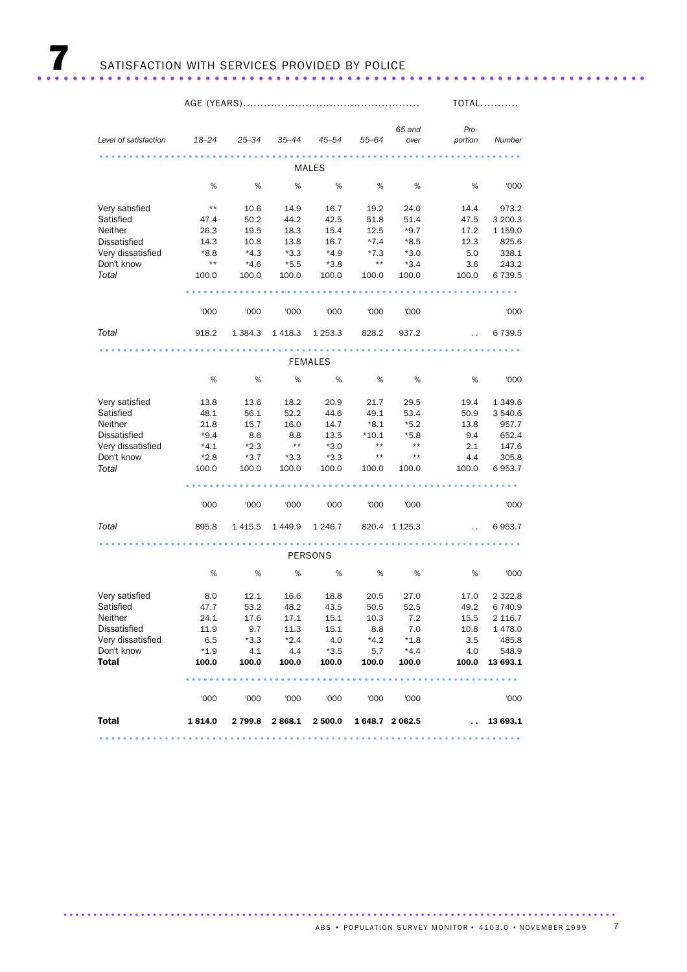|                            |                 |              |              |                 |              |                 |                                   | <b>TOTAL</b>      |
|----------------------------|-----------------|--------------|--------------|-----------------|--------------|-----------------|-----------------------------------|-------------------|
|                            |                 |              |              |                 |              |                 |                                   |                   |
|                            |                 |              |              |                 |              | 65 and          | Pro-                              |                   |
| Level of satisfaction      | $18 - 24$       | 25–34        | 35–44        | $45 - 54$       | $55 - 64$    | over            | portion                           | Number            |
|                            |                 |              |              |                 |              |                 |                                   |                   |
|                            |                 |              |              | MALES           |              |                 |                                   |                   |
|                            | %               | $\%$         | %            | %               | %            | %               | $\%$                              | '000              |
|                            |                 |              |              |                 |              |                 |                                   |                   |
| Very satisfied             | $^{\star\star}$ | 10.6         | 14.9         | 16.7            | 19.2         | 24.0            | 14.4                              | 973.2             |
| Satisfied                  | 47.4            | 50.2         | 44.2         | 42.5            | 51.8         | 51.4            | 47.5                              | 3 200.3           |
| Neither                    | 26.3            | 19.5         | 18.3         | 15.4            | 12.5         | $*9.7$          | 17.2                              | 1 1 5 9.0         |
| <b>Dissatisfied</b>        | 14.3            | 10.8         | 13.8         | 16.7            | $*7.4$       | $*8.5$          | 12.3                              | 825.6             |
| Very dissatisfied          | $*8.8$          | $*4.3$       | $*3.3$       | $*4.9$          | $*7.3$       | $*3.0$          | 5.0                               | 338.1             |
| Don't know                 | $^{\star\star}$ | $*4.6$       | $*5.5$       | $*3.8$          | $\star\star$ | $*3.4$          | 3.6                               | 243.2             |
| Total                      | 100.0           | 100.0        | 100.0        | 100.0           | 100.0        | 100.0           | 100.0                             | 6 7 3 9.5         |
|                            |                 |              |              |                 |              |                 |                                   |                   |
|                            |                 |              |              |                 |              |                 |                                   |                   |
|                            | '000            | '000         | '000         | '000            | '000         | '000            |                                   | '000              |
| Total                      | 918.2           | 1 3 8 4 . 3  | 1418.3       | 1 2 5 3 . 3     | 828.2        | 937.2           | $\sim$ $\sim$                     | 6 7 3 9.5         |
|                            |                 |              |              |                 |              |                 | * * * * * * * * * * * * * * * * * |                   |
|                            |                 |              |              | <b>FEMALES</b>  |              |                 |                                   |                   |
|                            |                 |              |              |                 |              |                 |                                   |                   |
|                            | $\%$            | $\%$         | %            | %               | %            | %               | %                                 | '000              |
| Very satisfied             | 13.8            | 13.6         | 18.2         | 20.9            | 21.7         | 29.5            | 19.4                              | 1 3 4 9.6         |
| Satisfied                  | 48.1            | 56.1         | 52.2         | 44.6            | 49.1         | 53.4            | 50.9                              | 3 540.6           |
| Neither                    | 21.8            | 15.7         | 16.0         | 14.7            | $*8.1$       | $*5.2$          | 13.8                              | 957.7             |
| Dissatisfied               | $*9.4$          | 8.6          | 8.8          | 13.5            | $*10.1$      | $*5.8$          | 9.4                               | 652.4             |
| Very dissatisfied          | $*4.1$          | $*2.3$       | $***$        | $*3.0$          | $\star\star$ | $***$           | 2.1                               | 147.6             |
| Don't know                 | $*2.8$          | $*3.7$       | $*3.3$       | $*3.3$          | $\star\star$ | $^{\star\star}$ | 4.4                               | 305.8             |
| Total                      | 100.0           | 100.0        | 100.0        | 100.0           | 100.0        | 100.0           | 100.0                             | 6953.7            |
|                            |                 |              |              |                 |              |                 |                                   |                   |
|                            |                 |              |              |                 |              |                 |                                   |                   |
|                            | '000            | '000         | '000         | '000            | '000         | '000            |                                   | '000              |
|                            |                 |              |              |                 |              |                 |                                   |                   |
| Total                      | 895.8           | 1 4 1 5.5    | 1449.9       | 1 2 4 6.7       |              | 820.4 1 125.3   | $\sim$ $\sim$                     | 6953.7            |
|                            |                 |              |              |                 |              |                 | .                                 |                   |
|                            |                 |              |              | PERSONS         |              |                 |                                   |                   |
|                            | %               | $\%$         | %            | %               | %            | %               | %                                 | '000              |
|                            |                 |              |              |                 |              |                 |                                   |                   |
| Very satisfied             | 8.0             | 12.1         | 16.6         | 18.8            | 20.5         | 27.0            | 17.0                              | 2 3 2 2.8         |
| Satisfied                  | 47.7            | 53.2         | 48.2         | 43.5            | 50.5         | 52.5            | 49.2                              | 6740.9            |
| Neither                    | 24.1            | 17.6         | 17.1         | 15.1            | 10.3         | 7.2             | 15.5                              | 2 1 1 6.7         |
| <b>Dissatisfied</b>        | 11.9            | 9.7          | 11.3         | 15.1            | 8.8          | 7.0             | 10.8                              | 1478.0            |
| Very dissatisfied          | 6.5             | $*3.3$       | $*2.4$       | 4.0             | $*4.2$       | $*1.8$          | 3.5                               | 485.8             |
| Don't know<br><b>Total</b> | $*1.9$<br>100.0 | 4.1<br>100.0 | 4.4<br>100.0 | $*3.5$<br>100.0 | 5.7<br>100.0 | $*4.4$<br>100.0 | 4.0<br>100.0                      | 548.9<br>13 693.1 |
|                            |                 |              |              |                 |              |                 |                                   |                   |
|                            |                 |              |              |                 |              |                 |                                   |                   |
|                            | '000            | '000         | '000         | '000            | '000         | '000            |                                   | '000              |
|                            |                 |              |              |                 |              |                 |                                   |                   |
| <b>Total</b>               | 1814.0          | 2 799.8      | 2 868.1      | 2 500.0         |              | 1 648.7 2 062.5 |                                   | $\ldots$ 13 693.1 |
|                            |                 |              |              |                 |              |                 |                                   |                   |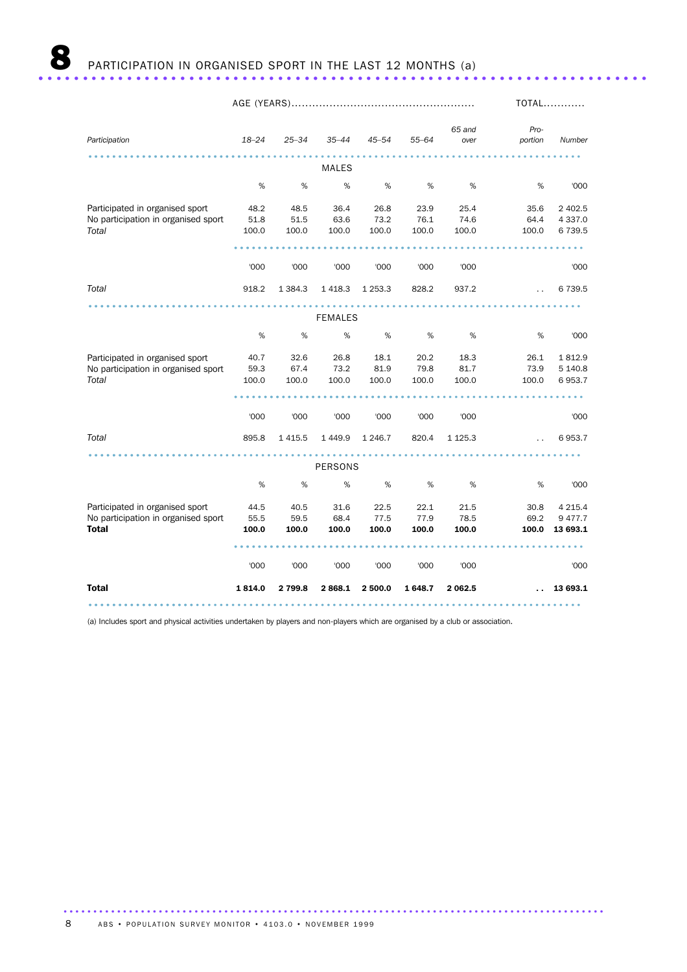|                                                                        |              |              |                |              |              |                |                      | <b>TOTAL</b>             |
|------------------------------------------------------------------------|--------------|--------------|----------------|--------------|--------------|----------------|----------------------|--------------------------|
| Participation                                                          | $18 - 24$    | $25 - 34$    | $35 - 44$      | $45 - 54$    | $55 - 64$    | 65 and<br>over | Pro-<br>portion      | Number                   |
|                                                                        |              |              | <b>MALES</b>   |              |              |                |                      |                          |
|                                                                        | %            | %            | %              | $\%$         | %            | %              | %                    | '000                     |
| Participated in organised sport<br>No participation in organised sport | 48.2<br>51.8 | 48.5<br>51.5 | 36.4<br>63.6   | 26.8<br>73.2 | 23.9<br>76.1 | 25.4<br>74.6   | 35.6<br>64.4         | 2 402.5<br>4 3 3 7 .0    |
| Total                                                                  | 100.0        | 100.0        | 100.0          | 100.0        | 100.0        | 100.0          | 100.0                | 6739.5                   |
|                                                                        |              |              |                |              |              |                |                      |                          |
|                                                                        | '000         | '000         | '000           | '000         | '000         | '000           |                      | '000                     |
| Total                                                                  | 918.2        | 1 3 8 4 . 3  | 1 4 1 8.3      | 1 2 5 3 . 3  | 828.2        | 937.2          | $\ddot{\phantom{0}}$ | 6 7 3 9.5                |
|                                                                        |              |              | <b>FEMALES</b> |              |              |                | <b>**********</b>    |                          |
|                                                                        | %            | %            | %              | %            | %            | %              | %                    | '000                     |
| Participated in organised sport<br>No participation in organised sport | 40.7<br>59.3 | 32.6<br>67.4 | 26.8<br>73.2   | 18.1<br>81.9 | 20.2<br>79.8 | 18.3<br>81.7   | 26.1<br>73.9         | 1812.9<br>5 140.8        |
| Total                                                                  | 100.0        | 100.0        | 100.0          | 100.0        | 100.0        | 100.0          | 100.0                | 6953.7                   |
|                                                                        |              |              |                |              |              |                |                      |                          |
|                                                                        | '000         | '000         | '000           | '000         | '000         | '000           |                      | '000                     |
| Total                                                                  | 895.8        | 1 4 1 5 .5   | 1 4 4 9.9      | 1 2 4 6.7    | 820.4        | 1 1 2 5 . 3    | $\ddot{\phantom{a}}$ | 6953.7                   |
|                                                                        |              |              | PERSONS        |              |              |                |                      |                          |
|                                                                        | %            | %            | %              | $\%$         | $\%$         | %              | %                    | '000                     |
| Participated in organised sport<br>No participation in organised sport | 44.5<br>55.5 | 40.5<br>59.5 | 31.6<br>68.4   | 22.5<br>77.5 | 22.1<br>77.9 | 21.5<br>78.5   | 30.8<br>69.2         | 4 2 1 5.4<br>9 4 7 7 . 7 |
| <b>Total</b>                                                           | 100.0        | 100.0        | 100.0          | 100.0        | 100.0        | 100.0          | 100.0                | 13 693.1                 |
|                                                                        |              |              |                |              |              |                |                      |                          |
|                                                                        | '000         | '000         | '000           | '000         | '000         | '000           |                      | '000                     |
| <b>Total</b>                                                           | 1814.0       | 2 799.8      | 2868.1         | 2 500.0      | 1648.7       | 2 062.5        |                      | 13 693.1                 |
|                                                                        |              |              |                |              |              |                |                      |                          |

(a) Includes sport and physical activities undertaken by players and non-players which are organised by a club or association.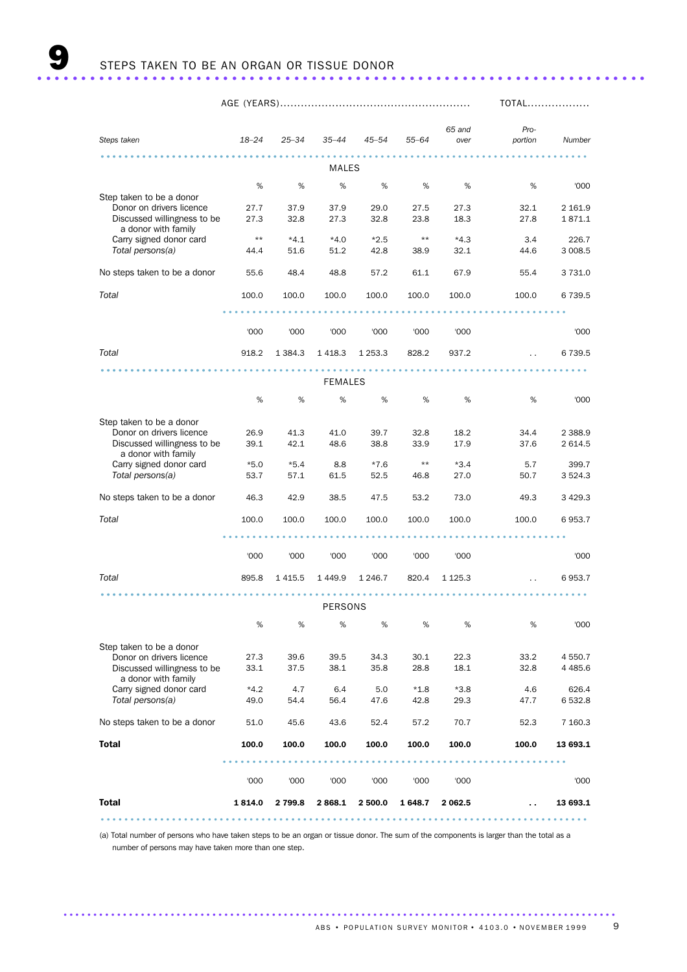|                                                         |                |              |                |              |                 |                |                      | TOTAL             |  |  |
|---------------------------------------------------------|----------------|--------------|----------------|--------------|-----------------|----------------|----------------------|-------------------|--|--|
|                                                         |                |              |                |              |                 |                |                      |                   |  |  |
| Steps taken                                             | $18 - 24$      | $25 - 34$    | $35 - 44$      | $45 - 54$    | $55 - 64$       | 65 and<br>over | Pro-<br>portion      | Number            |  |  |
|                                                         |                |              |                |              |                 |                |                      |                   |  |  |
| MALES                                                   |                |              |                |              |                 |                |                      |                   |  |  |
|                                                         | %              | %            | %              | %            | %               | %              | %                    | '000              |  |  |
| Step taken to be a donor                                |                |              |                |              |                 |                |                      |                   |  |  |
| Donor on drivers licence<br>Discussed willingness to be | 27.7<br>27.3   | 37.9<br>32.8 | 37.9<br>27.3   | 29.0<br>32.8 | 27.5<br>23.8    | 27.3<br>18.3   | 32.1<br>27.8         | 2 161.9<br>1871.1 |  |  |
| a donor with family                                     |                |              |                |              |                 |                |                      |                   |  |  |
| Carry signed donor card                                 | $***$          | $*4.1$       | $*4.0$         | $*2.5$       | $***$           | $*4.3$         | 3.4                  | 226.7             |  |  |
| Total persons(a)                                        | 44.4           | 51.6         | 51.2           | 42.8         | 38.9            | 32.1           | 44.6                 | 3 008.5           |  |  |
| No steps taken to be a donor                            | 55.6           | 48.4         | 48.8           | 57.2         | 61.1            | 67.9           | 55.4                 | 3 7 3 1.0         |  |  |
| Total                                                   | 100.0          | 100.0        | 100.0          | 100.0        | 100.0           | 100.0          | 100.0                | 6 7 3 9.5         |  |  |
|                                                         |                |              |                |              |                 |                |                      |                   |  |  |
|                                                         |                |              |                |              |                 |                |                      |                   |  |  |
|                                                         | '000           | '000         | '000           | '000         | '000            | '000           |                      | '000              |  |  |
| Total                                                   | 918.2          | 1 3 8 4 . 3  | 1418.3         | 1 2 5 3 . 3  | 828.2           | 937.2          | $\ddot{\phantom{a}}$ | 6 7 3 9.5         |  |  |
|                                                         |                |              |                |              |                 |                |                      |                   |  |  |
|                                                         |                |              | <b>FEMALES</b> |              |                 |                |                      |                   |  |  |
|                                                         | $\%$           | %            | $\%$           | %            | %               | %              | %                    | '000              |  |  |
| Step taken to be a donor                                |                |              |                |              |                 |                |                      |                   |  |  |
| Donor on drivers licence                                | 26.9           | 41.3         | 41.0           | 39.7         | 32.8            | 18.2           | 34.4                 | 2 3 8 8.9         |  |  |
| Discussed willingness to be                             | 39.1           | 42.1         | 48.6           | 38.8         | 33.9            | 17.9           | 37.6                 | 2 614.5           |  |  |
| a donor with family<br>Carry signed donor card          | $*5.0$         | $*5.4$       | 8.8            | $*7.6$       | $^{\star\star}$ | $*3.4$         | 5.7                  | 399.7             |  |  |
| Total persons(a)                                        | 53.7           | 57.1         | 61.5           | 52.5         | 46.8            | 27.0           | 50.7                 | 3 5 2 4 . 3       |  |  |
|                                                         |                |              |                |              |                 |                |                      |                   |  |  |
| No steps taken to be a donor                            | 46.3           | 42.9         | 38.5           | 47.5         | 53.2            | 73.0           | 49.3                 | 3 4 29.3          |  |  |
| Total                                                   | 100.0          | 100.0        | 100.0          | 100.0        | 100.0           | 100.0          | 100.0                | 6953.7            |  |  |
|                                                         |                |              |                |              |                 |                |                      |                   |  |  |
|                                                         |                |              |                |              |                 |                |                      |                   |  |  |
|                                                         | '000           | '000         | '000           | '000         | '000            | '000           |                      | '000              |  |  |
| Total                                                   | 895.8          | 1 4 1 5.5    | 1449.9         | 1 246.7      | 820.4           | 1 1 2 5 . 3    | $\ddot{\phantom{a}}$ | 6953.7            |  |  |
|                                                         |                |              |                |              |                 |                |                      |                   |  |  |
|                                                         |                |              | <b>PERSONS</b> |              |                 |                |                      |                   |  |  |
|                                                         | %              | %            | $\%$           | %            | %               | %              | $\%$                 | '000              |  |  |
|                                                         |                |              |                |              |                 |                |                      |                   |  |  |
| Step taken to be a donor<br>Donor on drivers licence    | 27.3           | 39.6         | 39.5           | 34.3         | 30.1            | 22.3           | 33.2                 | 4 550.7           |  |  |
| Discussed willingness to be                             | 33.1           | 37.5         | 38.1           | 35.8         | 28.8            | 18.1           | 32.8                 | 4 4 8 5.6         |  |  |
| a donor with family                                     |                |              |                |              |                 |                |                      |                   |  |  |
| Carry signed donor card<br>Total persons(a)             | $*4.2$<br>49.0 | 4.7<br>54.4  | 6.4<br>56.4    | 5.0          | $*1.8$          | $*3.8$<br>29.3 | 4.6<br>47.7          | 626.4<br>6 532.8  |  |  |
|                                                         |                |              |                | 47.6         | 42.8            |                |                      |                   |  |  |
| No steps taken to be a donor                            | 51.0           | 45.6         | 43.6           | 52.4         | 57.2            | 70.7           | 52.3                 | 7 160.3           |  |  |
| <b>Total</b>                                            | 100.0          | 100.0        | 100.0          | 100.0        | 100.0           | 100.0          | 100.0                | 13 693.1          |  |  |
|                                                         |                |              |                |              |                 |                |                      |                   |  |  |
|                                                         | '000           | '000         | '000           | '000         | '000            | '000           |                      | '000              |  |  |
| <b>Total</b>                                            | 1814.0         | 2 799.8      | 2868.1         | 2 500.0      | 1648.7          | 2 062.5        |                      | 13 693.1          |  |  |
|                                                         |                |              |                |              |                 |                |                      |                   |  |  |

(a) Total number of persons who have taken steps to be an organ or tissue donor. The sum of the components is larger than the total as a number of persons may have taken more than one step.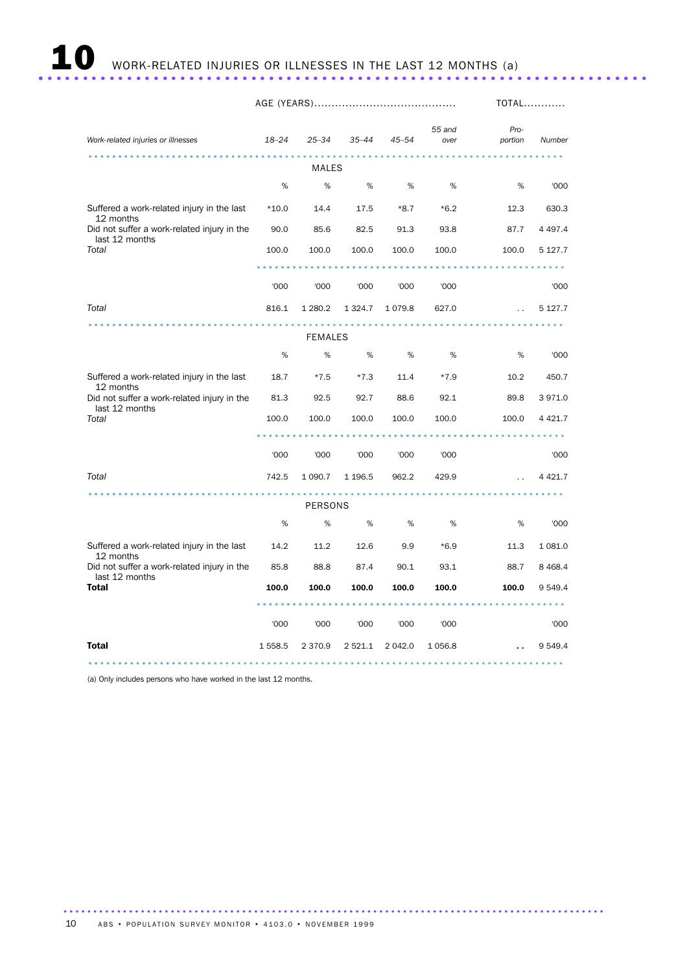# **10** WORK-RELATED INJURIES OR ILLNESSES IN THE LAST 12 MONTHS (a) ...................

|           | <b>TOTAL</b>    |                     |                                                           |                 |                                                                                                                 |             |
|-----------|-----------------|---------------------|-----------------------------------------------------------|-----------------|-----------------------------------------------------------------------------------------------------------------|-------------|
| $18 - 24$ | $25 - 34$       | $35 - 44$           | $45 - 54$                                                 | 55 and<br>over  | Pro-<br>portion                                                                                                 | Number      |
|           |                 |                     |                                                           |                 |                                                                                                                 |             |
| %         | %               | %                   | %                                                         | %               | %                                                                                                               | '000        |
| $*10.0$   | 14.4            | 17.5                | $*8.7$                                                    | $*6.2$          | 12.3                                                                                                            | 630.3       |
| 90.0      | 85.6            | 82.5                | 91.3                                                      | 93.8            | 87.7                                                                                                            | 4 4 9 7.4   |
| 100.0     | 100.0           | 100.0               | 100.0                                                     | 100.0           | 100.0                                                                                                           | 5 1 2 7 . 7 |
|           |                 |                     |                                                           |                 |                                                                                                                 |             |
| '000      | '000            | '000                | '000                                                      | '000            |                                                                                                                 | '000        |
| 816.1     | 1 280.2         | 1 3 2 4 . 7         | 1079.8                                                    | 627.0           | $\ddot{\phantom{a}}$                                                                                            | 5 1 2 7 . 7 |
|           |                 |                     |                                                           |                 |                                                                                                                 |             |
| %         | %               | %                   | %                                                         | %               | %                                                                                                               | '000        |
| 18.7      | $*7.5$          | $*7.3$              | 11.4                                                      | $*7.9$          | 10.2                                                                                                            | 450.7       |
| 81.3      | 92.5            | 92.7                | 88.6                                                      | 92.1            | 89.8                                                                                                            | 3971.0      |
| 100.0     | 100.0           | 100.0               | 100.0                                                     | 100.0           | 100.0                                                                                                           | 4 4 2 1.7   |
|           |                 |                     |                                                           |                 | <b>Allen Ad</b>                                                                                                 |             |
| '000      | '000            | '000                | '000                                                      | '000            |                                                                                                                 | '000        |
| 742.5     | 1 0 9 0.7       | 1 1 9 6.5           | 962.2                                                     | 429.9           | $\ddot{\phantom{a}}$                                                                                            | 4 4 2 1.7   |
|           |                 |                     |                                                           |                 |                                                                                                                 |             |
| %         | %               | %                   | %                                                         | %               | %                                                                                                               | '000        |
| 14.2      | 11.2            | 12.6                | 9.9                                                       | $*6.9$          | 11.3                                                                                                            | 1 0 8 1 .0  |
| 85.8      | 88.8            | 87.4                | 90.1                                                      | 93.1            | 88.7                                                                                                            | 8 4 6 8.4   |
| 100.0     | 100.0           | 100.0               | 100.0                                                     | 100.0           | 100.0                                                                                                           | 9 5 4 9.4   |
|           |                 |                     |                                                           |                 | $\begin{array}{cccccccccccccc} \bullet & \bullet & \bullet & \bullet & \bullet & \bullet & \bullet \end{array}$ |             |
|           |                 |                     |                                                           |                 |                                                                                                                 | '000        |
|           |                 |                     |                                                           |                 |                                                                                                                 | 9 5 4 9.4   |
|           | '000<br>1 558.5 | '000<br>2 3 7 0 . 9 | MALES<br><b>FEMALES</b><br>PERSONS<br>'000<br>2 5 2 1 . 1 | '000<br>2 042.0 | '000<br>1 0 5 6.8                                                                                               |             |

...........................................................................................

(a) Only includes persons who have worked in the last 12 months.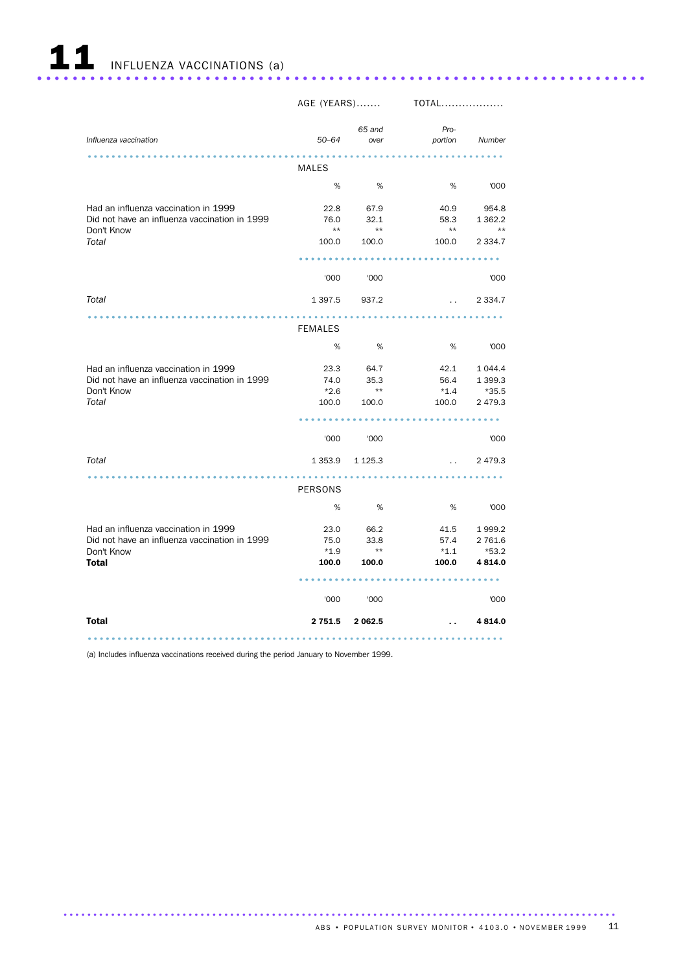

|                                                                                                              | AGE (YEARS)                     |                               | TOTAL                           |                                                  |
|--------------------------------------------------------------------------------------------------------------|---------------------------------|-------------------------------|---------------------------------|--------------------------------------------------|
| Influenza vaccination                                                                                        | $50 - 64$                       | 65 and<br>over                | Pro-<br>portion                 | Number                                           |
|                                                                                                              | MALES                           |                               |                                 |                                                  |
|                                                                                                              | %                               | %                             | %                               | '000                                             |
| Had an influenza vaccination in 1999<br>Did not have an influenza vaccination in 1999<br>Don't Know          | 76.0<br>$\star\star$            | 22.8 67.9<br>32.1<br>$**$     | 40.9<br>58.3<br>$\star\star$    | 954.8<br>1 3 6 2.2<br>$***$                      |
| Total                                                                                                        | 100.0                           | 100.0                         | 100.0                           | 2 3 3 4 . 7                                      |
|                                                                                                              |                                 |                               | .                               |                                                  |
|                                                                                                              | '000                            | '000                          |                                 | '000                                             |
| Total                                                                                                        | 1 3 9 7 .5                      | 937.2                         | <b>Contractor</b>               | 2 3 3 4.7                                        |
|                                                                                                              | <b>FEMALES</b>                  |                               |                                 |                                                  |
|                                                                                                              | %                               | %                             | %                               | '000                                             |
| Had an influenza vaccination in 1999<br>Did not have an influenza vaccination in 1999<br>Don't Know<br>Total | 23.3<br>74.0<br>$*2.6$<br>100.0 | 64.7<br>35.3<br>$**$<br>100.0 | 42.1<br>56.4<br>$*1.4$<br>100.0 | 1 0 4 4.4<br>1 3 9 9.3<br>$*35.5$<br>2 4 7 9 . 3 |
|                                                                                                              |                                 |                               |                                 |                                                  |
|                                                                                                              | '000                            | '000                          |                                 | '000                                             |
| Total                                                                                                        |                                 | 1 353.9 1 1 25.3              | <b>SALE</b>                     | 2 4 7 9 . 3                                      |
|                                                                                                              | PERSONS                         |                               |                                 |                                                  |
|                                                                                                              | %                               | %                             | %                               | '000                                             |
| Had an influenza vaccination in 1999<br>Did not have an influenza vaccination in 1999<br>Don't Know          | 23.0<br>75.0<br>$*1.9$          | 66.2<br>33.8<br>$**$          | 41.5<br>57.4<br>$*1.1$          | 1999.2<br>2 761.6<br>*53.2                       |
| <b>Total</b>                                                                                                 | 100.0                           | 100.0                         | 100.0                           | 4 8 1 4 .0                                       |
|                                                                                                              |                                 |                               |                                 |                                                  |
|                                                                                                              | '000                            | '000                          |                                 | '000                                             |
| <b>Total</b>                                                                                                 | 2 751.5                         | 2 062.5                       | ο.                              | 4 8 1 4 .0                                       |
|                                                                                                              |                                 |                               |                                 |                                                  |

(a) Includes influenza vaccinations received during the period January to November 1999.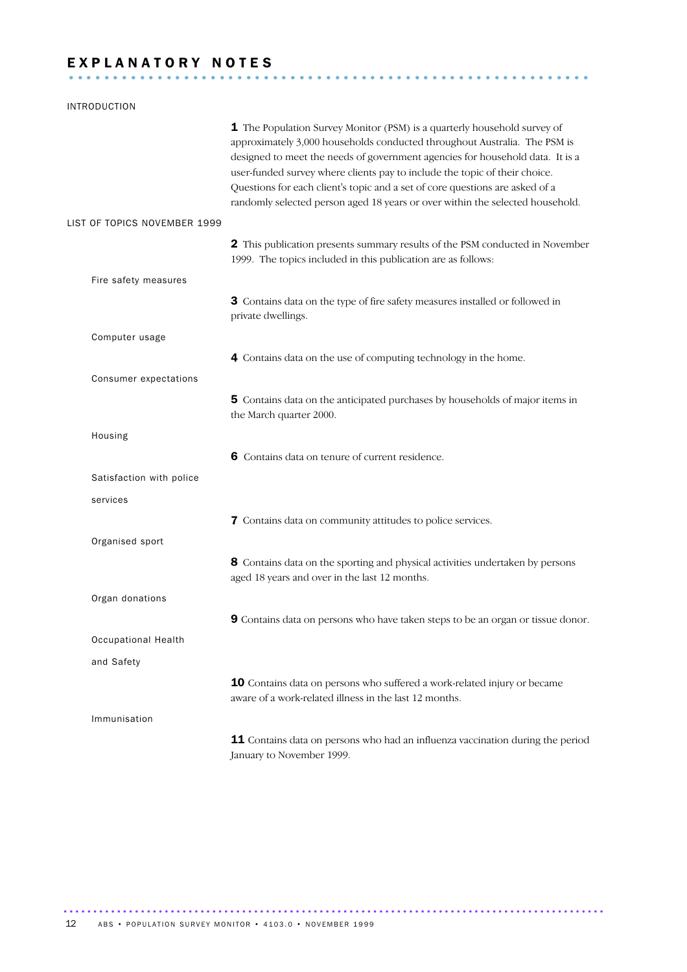# EXPLANATORY NOTES

# INTRODUCTION 1 The Population Survey Monitor (PSM) is a quarterly household survey of approximately 3,000 households conducted throughout Australia. The PSM is designed to meet the needs of government agencies for household data. It is a user-funded survey where clients pay to include the topic of their choice. Questions for each client's topic and a set of core questions are asked of a randomly selected person aged 18 years or over within the selected household. LIST OF TOPICS NOVEMBER 1999 2 This publication presents summary results of the PSM conducted in November 1999. The topics included in this publication are as follows: Fire safety measures 3 Contains data on the type of fire safety measures installed or followed in private dwellings. Computer usage 4 Contains data on the use of computing technology in the home. Consumer expectations 5 Contains data on the anticipated purchases by households of major items in the March quarter 2000. Housing 6 Contains data on tenure of current residence. Satisfaction with police services 7 Contains data on community attitudes to police services. Organised sport 8 Contains data on the sporting and physical activities undertaken by persons aged 18 years and over in the last 12 months. Organ donations 9 Contains data on persons who have taken steps to be an organ or tissue donor. Occupational Health and Safety 10 Contains data on persons who suffered a work-related injury or became aware of a work-related illness in the last 12 months. Immunisation 11 Contains data on persons who had an influenza vaccination during the period January to November 1999.

...........................................................................................

12 ABS • POPULATION SURVEY MONITOR • 4103.0 • NOVEMBER 1999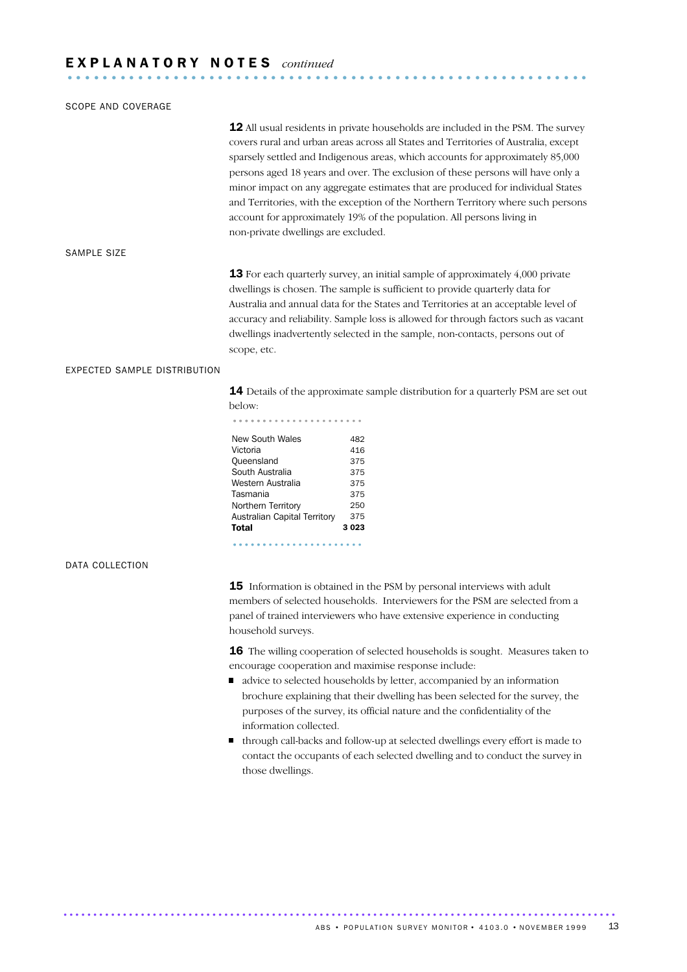# E X P L A N A T O R Y N O T E S *continued* ...........................................................

#### SCOPE AND COVERAGE

12 All usual residents in private households are included in the PSM. The survey covers rural and urban areas across all States and Territories of Australia, except sparsely settled and Indigenous areas, which accounts for approximately 85,000 persons aged 18 years and over.The exclusion of these persons will have only a minor impact on any aggregate estimates that are produced for individual States and Territories, with the exception of the Northern Territory where such persons account for approximately 19% of the population. All persons living in non-private dwellings are excluded. SAMPLE SIZE

> **13** For each quarterly survey, an initial sample of approximately 4,000 private dwellings is chosen. The sample is sufficient to provide quarterly data for Australia and annual data for the States and Territories at an acceptable level of accuracy and reliability. Sample loss is allowed for through factors such as vacant dwellings inadvertently selected in the sample, non-contacts, persons out of scope, etc.

#### EXPECTED SAMPLE DISTRIBUTION

14 Details of the approximate sample distribution for a quarterly PSM are set out below:

|                        | JEIOW: |  |  |  |  |  |  |  |  |  |  |  |  |  |  |  |  |
|------------------------|--------|--|--|--|--|--|--|--|--|--|--|--|--|--|--|--|--|
|                        |        |  |  |  |  |  |  |  |  |  |  |  |  |  |  |  |  |
| New South Wales<br>482 |        |  |  |  |  |  |  |  |  |  |  |  |  |  |  |  |  |
| Victoria<br>416        |        |  |  |  |  |  |  |  |  |  |  |  |  |  |  |  |  |

| Total                        | 3023 |
|------------------------------|------|
| Australian Capital Territory | 375  |
| Northern Territory           | 250  |
| Tasmania                     | 375  |
| Western Australia            | 375  |
| South Australia              | 375  |
| Oueensland                   | 375  |
| Victoria                     | 416  |

#### DATA COLLECTION

15 Information is obtained in the PSM by personal interviews with adult members of selected households. Interviewers for the PSM are selected from a panel of trained interviewers who have extensive experience in conducting household surveys.

16 The willing cooperation of selected households is sought. Measures taken to encourage cooperation and maximise response include:

- decay advice to selected households by letter, accompanied by an information brochure explaining that their dwelling has been selected for the survey, the purposes of the survey, its official nature and the confidentiality of the information collected.
- through call-backs and follow-up at selected dwellings every effort is made to contact the occupants of each selected dwelling and to conduct the survey in those dwellings.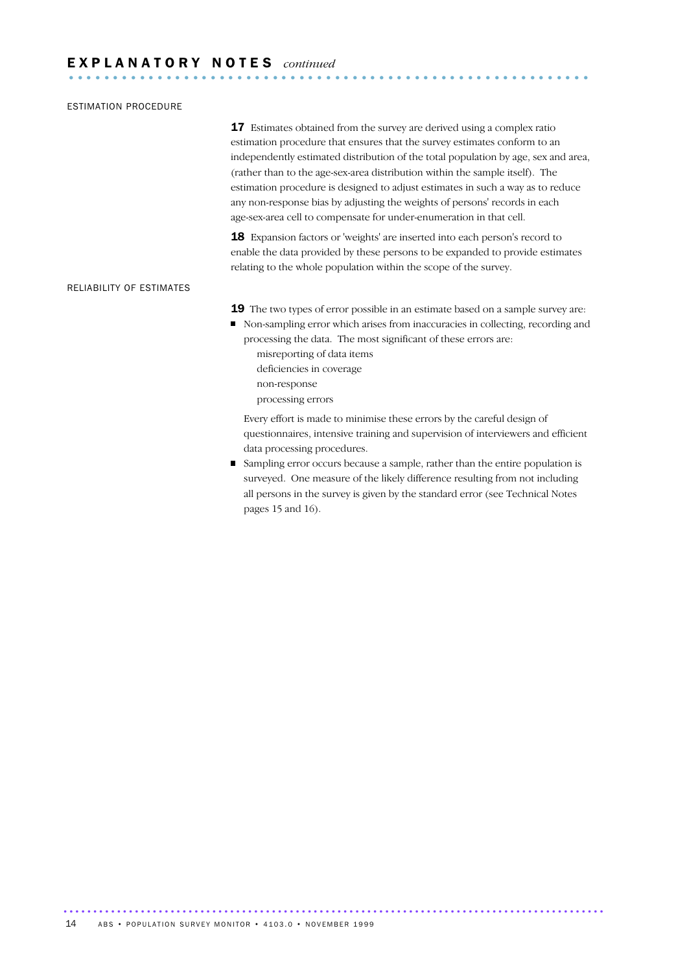#### ESTIMATION PROCEDURE

**17** Estimates obtained from the survey are derived using a complex ratio estimation procedure that ensures that the survey estimates conform to an independently estimated distribution of the total population by age, sex and area, (rather than to the age-sex-area distribution within the sample itself). The estimation procedure is designed to adjust estimates in such a way as to reduce any non-response bias by adjusting the weights of persons' records in each age-sex-area cell to compensate for under-enumeration in that cell.

18 Expansion factors or 'weights' are inserted into each person's record to enable the data provided by these persons to be expanded to provide estimates relating to the whole population within the scope of the survey.

#### RELIABILITY OF ESTIMATES

- 19 The two types of error possible in an estimate based on a sample survey are:
- Non-sampling error which arises from inaccuracies in collecting, recording and processing the data. The most significant of these errors are:
	- misreporting of data items
	- deficiencies in coverage
	- non-response processing errors

Every effort is made to minimise these errors by the careful design of questionnaires, intensive training and supervision of interviewers and efficient data processing procedures.

Sampling error occurs because a sample, rather than the entire population is surveyed. One measure of the likely difference resulting from not including all persons in the survey is given by the standard error (see Technical Notes pages 15 and 16).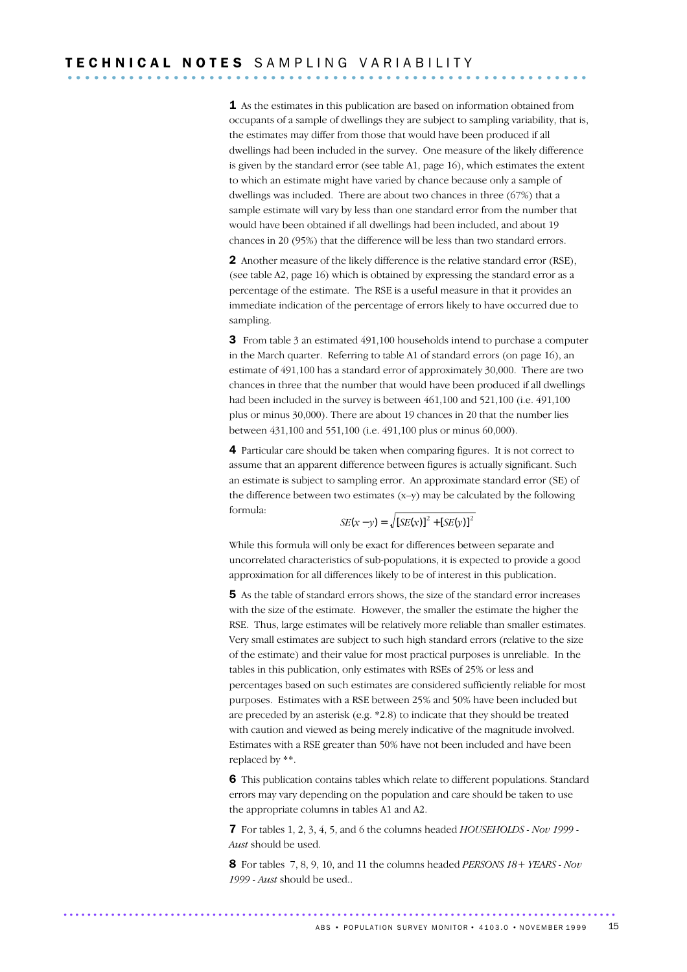1 As the estimates in this publication are based on information obtained from occupants of a sample of dwellings they are subject to sampling variability, that is, the estimates may differ from those that would have been produced if all dwellings had been included in the survey. One measure of the likely difference is given by the standard error (see table A1, page 16), which estimates the extent to which an estimate might have varied by chance because only a sample of dwellings was included. There are about two chances in three (67%) that a sample estimate will vary by less than one standard error from the number that would have been obtained if all dwellings had been included, and about 19 chances in 20 (95%) that the difference will be less than two standard errors.

2 Another measure of the likely difference is the relative standard error (RSE), (see table A2, page 16) which is obtained by expressing the standard error as a percentage of the estimate. The RSE is a useful measure in that it provides an immediate indication of the percentage of errors likely to have occurred due to sampling.

**3** From table 3 an estimated 491,100 households intend to purchase a computer in the March quarter. Referring to table A1 of standard errors (on page 16), an estimate of 491,100 has a standard error of approximately 30,000. There are two chances in three that the number that would have been produced if all dwellings had been included in the survey is between 461,100 and 521,100 (i.e. 491,100 plus or minus 30,000). There are about 19 chances in 20 that the number lies between 431,100 and 551,100 (i.e. 491,100 plus or minus 60,000).

4 Particular care should be taken when comparing figures. It is not correct to assume that an apparent difference between figures is actually significant. Such an estimate is subject to sampling error. An approximate standard error (SE) of the difference between two estimates (x–y) may be calculated by the following formula:

$$
SE(x - y) = \sqrt{[SE(x)]^{2} + [SE(y)]^{2}}
$$

While this formula will only be exact for differences between separate and uncorrelated characteristics of sub-populations, it is expected to provide a good approximation for all differences likely to be of interest in this publication.

5 As the table of standard errors shows, the size of the standard error increases with the size of the estimate. However, the smaller the estimate the higher the RSE. Thus, large estimates will be relatively more reliable than smaller estimates. Very small estimates are subject to such high standard errors (relative to the size of the estimate) and their value for most practical purposes is unreliable. In the tables in this publication, only estimates with RSEs of 25% or less and percentages based on such estimates are considered sufficiently reliable for most purposes. Estimates with a RSE between 25% and 50% have been included but are preceded by an asterisk (e.g. \*2.8) to indicate that they should be treated with caution and viewed as being merely indicative of the magnitude involved. Estimates with a RSE greater than 50% have not been included and have been replaced by \*\*.

6 This publication contains tables which relate to different populations. Standard errors may vary depending on the population and care should be taken to use the appropriate columns in tables A1 and A2.

7 For tables 1, 2, 3, 4, 5, and 6 the columns headed *HOUSEHOLDS - Nov 1999 - Aust* should be used.

8 For tables 7, 8, 9, 10, and 11 the columns headed *PERSONS 18+ YEARS - Nov 1999 - Aust* should be used..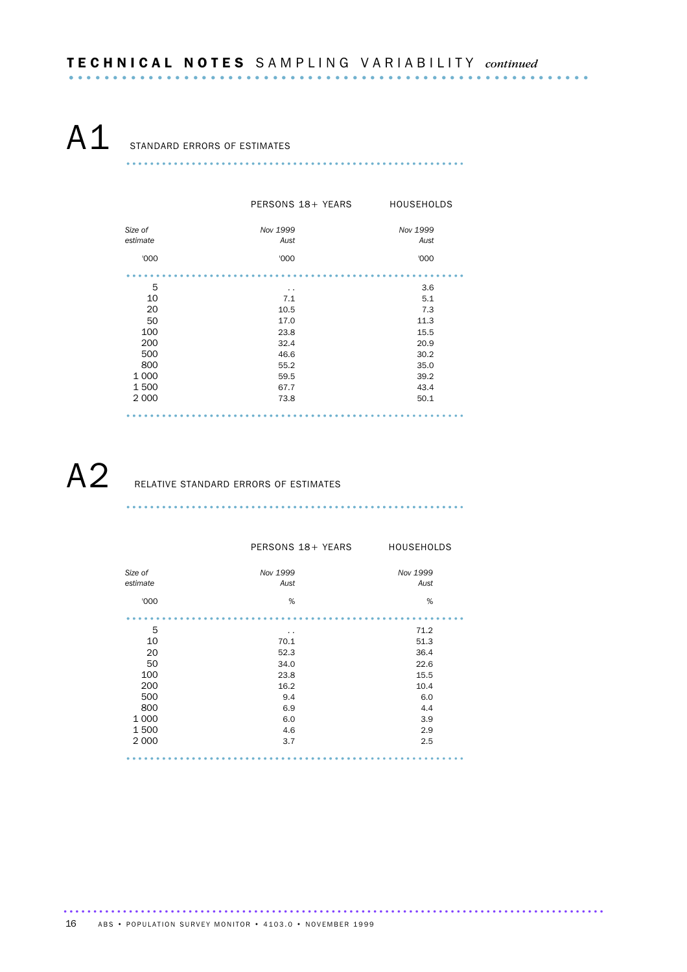A<sub>1</sub> STANDARD ERRORS OF ESTIMATES

......................................................... ........................................................

|          | PERSONS 18+ YEARS | <b>HOUSEHOLDS</b> |
|----------|-------------------|-------------------|
| Size of  | Nov 1999          | Nov 1999          |
| estimate | Aust              | Aust              |
| '000     | '000              | '000              |
|          |                   |                   |
| 5        | . .               | 3.6               |
| 10       | 7.1               | 5.1               |
| 20       | 10.5              | 7.3               |
| 50       | 17.0              | 11.3              |
| 100      | 23.8              | 15.5              |
| 200      | 32.4              | 20.9              |
| 500      | 46.6              | 30.2              |
| 800      | 55.2              | 35.0              |
| 1 0 0 0  | 59.5              | 39.2              |
| 1500     | 67.7              | 43.4              |
| 2 0 0 0  | 73.8              | 50.1              |
|          |                   |                   |

A2 RELATIVE STANDARD ERRORS OF ESTIMATES

|                     | PERSONS 18+ YEARS | <b>HOUSEHOLDS</b> |
|---------------------|-------------------|-------------------|
| Size of<br>estimate | Nov 1999<br>Aust  | Nov 1999<br>Aust  |
| '000                | %                 | %                 |
|                     |                   |                   |
| 5                   | $\sim$            | 71.2              |
| 10                  | 70.1              | 51.3              |
| 20                  | 52.3              | 36.4              |
| 50                  | 34.0              | 22.6              |
| 100                 | 23.8              | 15.5              |
| 200                 | 16.2              | 10.4              |
| 500                 | 9.4               | 6.0               |
| 800                 | 6.9               | 4.4               |
| 1 0 0 0             | 6.0               | 3.9               |
| 1500                | 4.6               | 2.9               |
| 2 0 0 0             | 3.7               | 2.5               |
|                     |                   |                   |

......................................................... ........................................................

........................................................................................... 16 ABS • POPULATION SURVEY MONITOR • 4103.0 • NOVEMBER 1999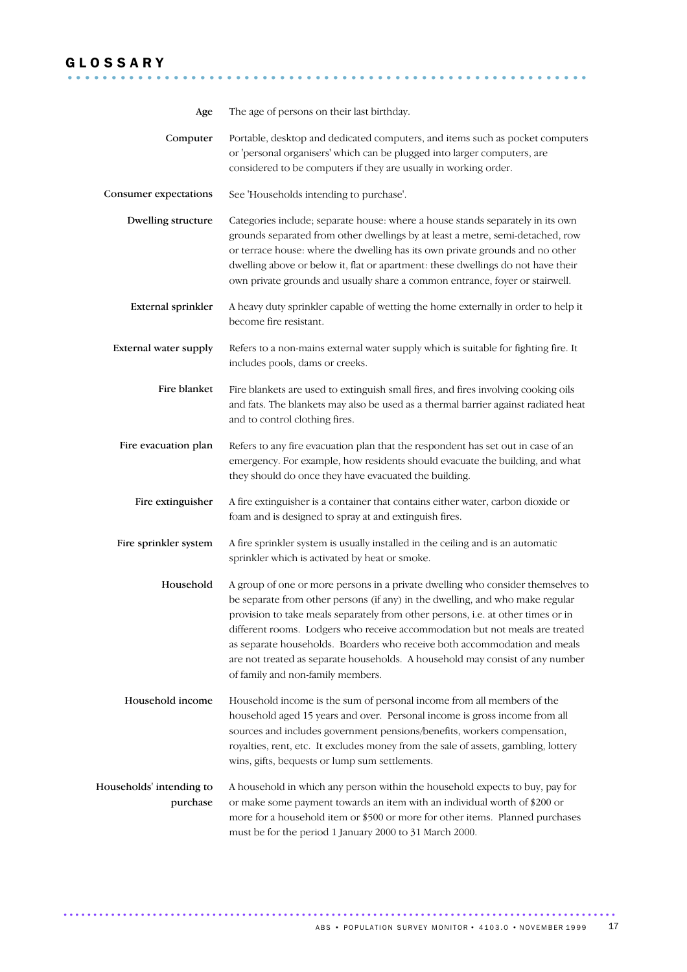## G L O S S A R Y ...........................................................

| Age                                  | The age of persons on their last birthday.                                                                                                                                                                                                                                                                                                                                                                                                                                                                                              |
|--------------------------------------|-----------------------------------------------------------------------------------------------------------------------------------------------------------------------------------------------------------------------------------------------------------------------------------------------------------------------------------------------------------------------------------------------------------------------------------------------------------------------------------------------------------------------------------------|
| Computer                             | Portable, desktop and dedicated computers, and items such as pocket computers<br>or 'personal organisers' which can be plugged into larger computers, are<br>considered to be computers if they are usually in working order.                                                                                                                                                                                                                                                                                                           |
| Consumer expectations                | See 'Households intending to purchase'.                                                                                                                                                                                                                                                                                                                                                                                                                                                                                                 |
| Dwelling structure                   | Categories include; separate house: where a house stands separately in its own<br>grounds separated from other dwellings by at least a metre, semi-detached, row<br>or terrace house: where the dwelling has its own private grounds and no other<br>dwelling above or below it, flat or apartment: these dwellings do not have their<br>own private grounds and usually share a common entrance, foyer or stairwell.                                                                                                                   |
| External sprinkler                   | A heavy duty sprinkler capable of wetting the home externally in order to help it<br>become fire resistant.                                                                                                                                                                                                                                                                                                                                                                                                                             |
| <b>External water supply</b>         | Refers to a non-mains external water supply which is suitable for fighting fire. It<br>includes pools, dams or creeks.                                                                                                                                                                                                                                                                                                                                                                                                                  |
| Fire blanket                         | Fire blankets are used to extinguish small fires, and fires involving cooking oils<br>and fats. The blankets may also be used as a thermal barrier against radiated heat<br>and to control clothing fires.                                                                                                                                                                                                                                                                                                                              |
| Fire evacuation plan                 | Refers to any fire evacuation plan that the respondent has set out in case of an<br>emergency. For example, how residents should evacuate the building, and what<br>they should do once they have evacuated the building.                                                                                                                                                                                                                                                                                                               |
| Fire extinguisher                    | A fire extinguisher is a container that contains either water, carbon dioxide or<br>foam and is designed to spray at and extinguish fires.                                                                                                                                                                                                                                                                                                                                                                                              |
| Fire sprinkler system                | A fire sprinkler system is usually installed in the ceiling and is an automatic<br>sprinkler which is activated by heat or smoke.                                                                                                                                                                                                                                                                                                                                                                                                       |
| Household                            | A group of one or more persons in a private dwelling who consider themselves to<br>be separate from other persons (if any) in the dwelling, and who make regular<br>provision to take meals separately from other persons, i.e. at other times or in<br>different rooms. Lodgers who receive accommodation but not meals are treated<br>as separate households. Boarders who receive both accommodation and meals<br>are not treated as separate households. A household may consist of any number<br>of family and non-family members. |
| Household income                     | Household income is the sum of personal income from all members of the<br>household aged 15 years and over. Personal income is gross income from all<br>sources and includes government pensions/benefits, workers compensation,<br>royalties, rent, etc. It excludes money from the sale of assets, gambling, lottery<br>wins, gifts, bequests or lump sum settlements.                                                                                                                                                                |
| Households' intending to<br>purchase | A household in which any person within the household expects to buy, pay for<br>or make some payment towards an item with an individual worth of \$200 or<br>more for a household item or \$500 or more for other items. Planned purchases<br>must be for the period 1 January 2000 to 31 March 2000.                                                                                                                                                                                                                                   |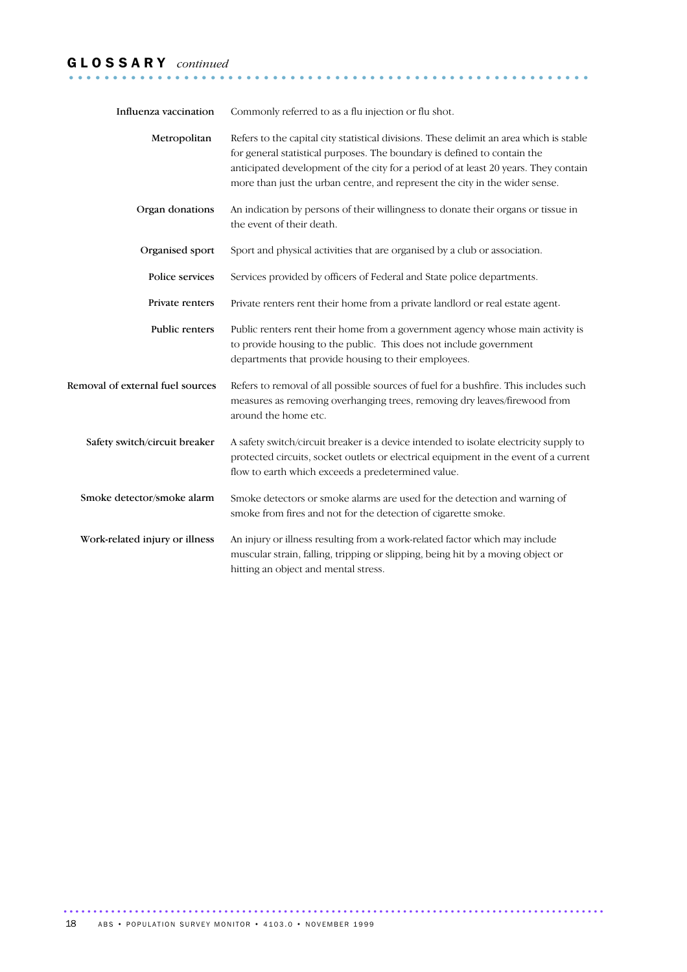## G L O S S A R Y *continued* ...........................................................

| Influenza vaccination            | Commonly referred to as a flu injection or flu shot.                                                                                                                                                                                                                                                                                      |
|----------------------------------|-------------------------------------------------------------------------------------------------------------------------------------------------------------------------------------------------------------------------------------------------------------------------------------------------------------------------------------------|
| Metropolitan                     | Refers to the capital city statistical divisions. These delimit an area which is stable<br>for general statistical purposes. The boundary is defined to contain the<br>anticipated development of the city for a period of at least 20 years. They contain<br>more than just the urban centre, and represent the city in the wider sense. |
| Organ donations                  | An indication by persons of their willingness to donate their organs or tissue in<br>the event of their death.                                                                                                                                                                                                                            |
| Organised sport                  | Sport and physical activities that are organised by a club or association.                                                                                                                                                                                                                                                                |
| Police services                  | Services provided by officers of Federal and State police departments.                                                                                                                                                                                                                                                                    |
| Private renters                  | Private renters rent their home from a private landlord or real estate agent.                                                                                                                                                                                                                                                             |
| Public renters                   | Public renters rent their home from a government agency whose main activity is<br>to provide housing to the public. This does not include government<br>departments that provide housing to their employees.                                                                                                                              |
| Removal of external fuel sources | Refers to removal of all possible sources of fuel for a bushfire. This includes such<br>measures as removing overhanging trees, removing dry leaves/firewood from<br>around the home etc.                                                                                                                                                 |
| Safety switch/circuit breaker    | A safety switch/circuit breaker is a device intended to isolate electricity supply to<br>protected circuits, socket outlets or electrical equipment in the event of a current<br>flow to earth which exceeds a predetermined value.                                                                                                       |
| Smoke detector/smoke alarm       | Smoke detectors or smoke alarms are used for the detection and warning of<br>smoke from fires and not for the detection of cigarette smoke.                                                                                                                                                                                               |
| Work-related injury or illness   | An injury or illness resulting from a work-related factor which may include<br>muscular strain, falling, tripping or slipping, being hit by a moving object or<br>hitting an object and mental stress.                                                                                                                                    |